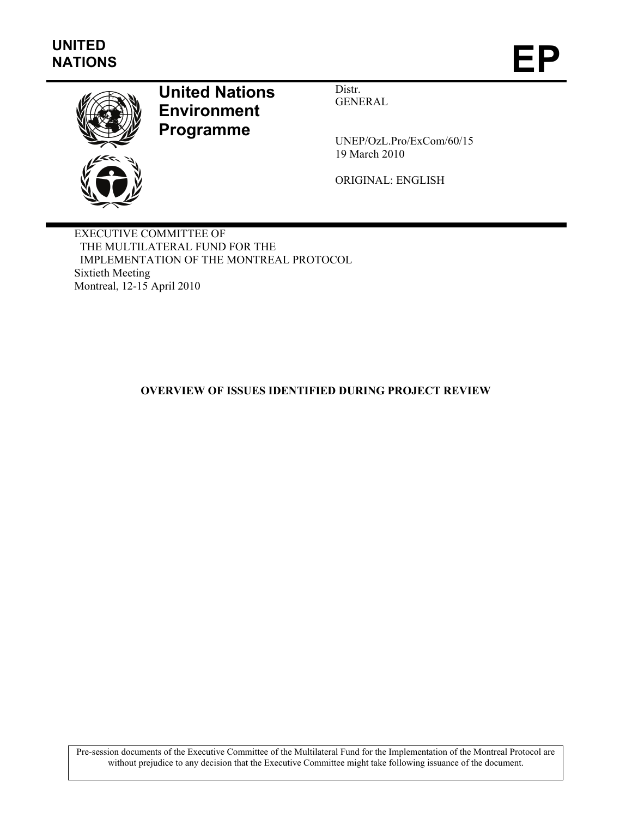

# **United Nations Environment Programme**

Distr. GENERAL

UNEP/OzL.Pro/ExCom/60/15 19 March 2010

ORIGINAL: ENGLISH

EXECUTIVE COMMITTEE OF THE MULTILATERAL FUND FOR THE IMPLEMENTATION OF THE MONTREAL PROTOCOL Sixtieth Meeting Montreal, 12-15 April 2010

### **OVERVIEW OF ISSUES IDENTIFIED DURING PROJECT REVIEW**

Pre-session documents of the Executive Committee of the Multilateral Fund for the Implementation of the Montreal Protocol are without prejudice to any decision that the Executive Committee might take following issuance of the document.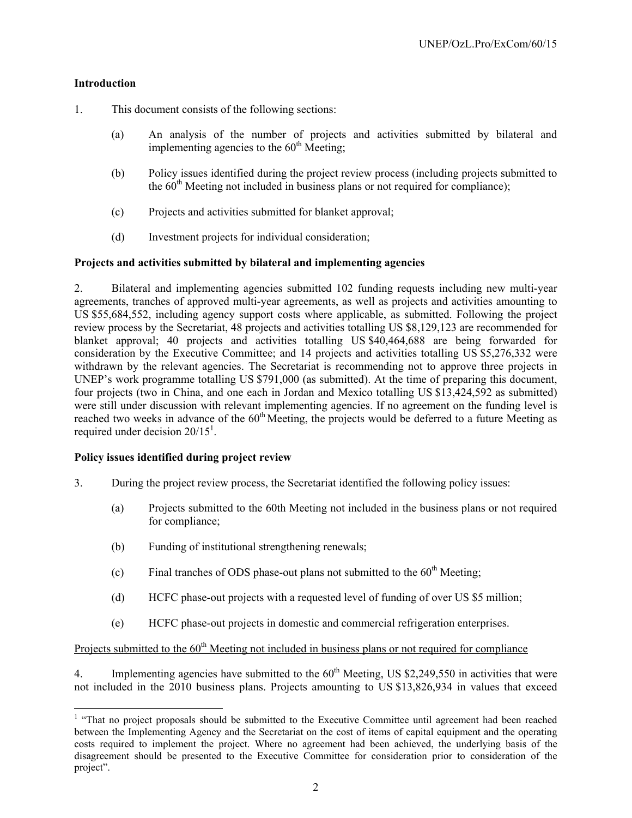#### **Introduction**

l

- 1. This document consists of the following sections:
	- (a) An analysis of the number of projects and activities submitted by bilateral and implementing agencies to the  $60<sup>th</sup>$  Meeting;
	- (b) Policy issues identified during the project review process (including projects submitted to the  $60<sup>th</sup>$  Meeting not included in business plans or not required for compliance):
	- (c) Projects and activities submitted for blanket approval;
	- (d) Investment projects for individual consideration;

#### **Projects and activities submitted by bilateral and implementing agencies**

2. Bilateral and implementing agencies submitted 102 funding requests including new multi-year agreements, tranches of approved multi-year agreements, as well as projects and activities amounting to US \$55,684,552, including agency support costs where applicable, as submitted. Following the project review process by the Secretariat, 48 projects and activities totalling US \$8,129,123 are recommended for blanket approval; 40 projects and activities totalling US \$40,464,688 are being forwarded for consideration by the Executive Committee; and 14 projects and activities totalling US \$5,276,332 were withdrawn by the relevant agencies. The Secretariat is recommending not to approve three projects in UNEP's work programme totalling US \$791,000 (as submitted). At the time of preparing this document, four projects (two in China, and one each in Jordan and Mexico totalling US \$13,424,592 as submitted) were still under discussion with relevant implementing agencies. If no agreement on the funding level is reached two weeks in advance of the  $60<sup>th</sup>$  Meeting, the projects would be deferred to a future Meeting as required under decision  $20/15<sup>1</sup>$ .

#### **Policy issues identified during project review**

- 3. During the project review process, the Secretariat identified the following policy issues:
	- (a) Projects submitted to the 60th Meeting not included in the business plans or not required for compliance;
	- (b) Funding of institutional strengthening renewals;
	- (c) Final tranches of ODS phase-out plans not submitted to the  $60<sup>th</sup>$  Meeting;
	- (d) HCFC phase-out projects with a requested level of funding of over US \$5 million;
	- (e) HCFC phase-out projects in domestic and commercial refrigeration enterprises.

Projects submitted to the  $60<sup>th</sup>$  Meeting not included in business plans or not required for compliance

4. Implementing agencies have submitted to the  $60<sup>th</sup>$  Meeting, US \$2,249,550 in activities that were not included in the 2010 business plans. Projects amounting to US \$13,826,934 in values that exceed

<sup>&</sup>lt;sup>1</sup> "That no project proposals should be submitted to the Executive Committee until agreement had been reached between the Implementing Agency and the Secretariat on the cost of items of capital equipment and the operating costs required to implement the project. Where no agreement had been achieved, the underlying basis of the disagreement should be presented to the Executive Committee for consideration prior to consideration of the project".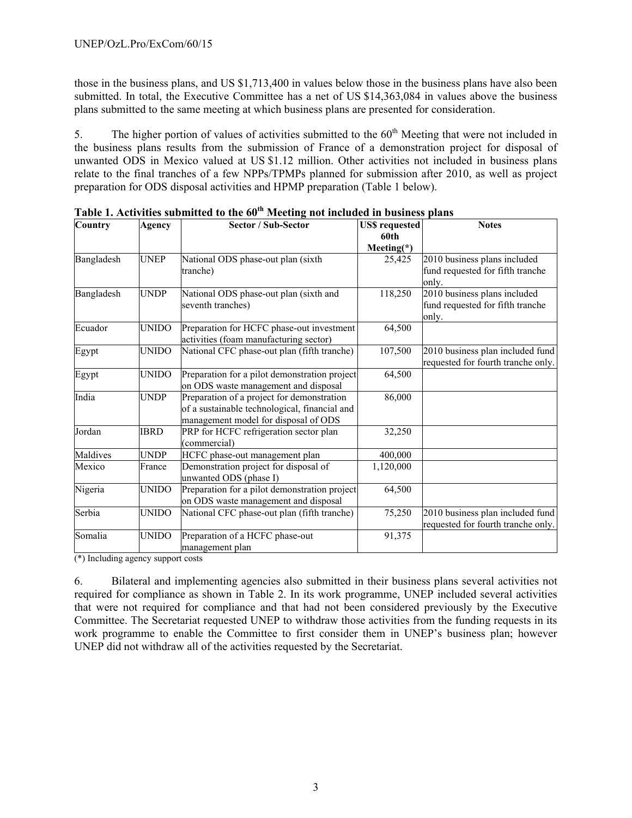those in the business plans, and US \$1,713,400 in values below those in the business plans have also been submitted. In total, the Executive Committee has a net of US \$14,363,084 in values above the business plans submitted to the same meeting at which business plans are presented for consideration.

5. The higher portion of values of activities submitted to the  $60<sup>th</sup>$  Meeting that were not included in the business plans results from the submission of France of a demonstration project for disposal of unwanted ODS in Mexico valued at US \$1.12 million. Other activities not included in business plans relate to the final tranches of a few NPPs/TPMPs planned for submission after 2010, as well as project preparation for ODS disposal activities and HPMP preparation (Table 1 below).

| Country    | Agency       | <b>Sector / Sub-Sector</b>                                                                                                          | <b>US\$</b> requested<br>60th | <b>Notes</b>                                                              |
|------------|--------------|-------------------------------------------------------------------------------------------------------------------------------------|-------------------------------|---------------------------------------------------------------------------|
|            |              |                                                                                                                                     | Meeting $(*)$                 |                                                                           |
| Bangladesh | <b>UNEP</b>  | National ODS phase-out plan (sixth<br>tranche)                                                                                      | 25,425                        | 2010 business plans included<br>fund requested for fifth tranche<br>only. |
| Bangladesh | <b>UNDP</b>  | National ODS phase-out plan (sixth and<br>seventh tranches)                                                                         | 118,250                       | 2010 business plans included<br>fund requested for fifth tranche<br>only. |
| Ecuador    | <b>UNIDO</b> | Preparation for HCFC phase-out investment<br>activities (foam manufacturing sector)                                                 | 64,500                        |                                                                           |
| Egypt      | <b>UNIDO</b> | National CFC phase-out plan (fifth tranche)                                                                                         | 107,500                       | 2010 business plan included fund<br>requested for fourth tranche only.    |
| Egypt      | <b>UNIDO</b> | Preparation for a pilot demonstration project<br>on ODS waste management and disposal                                               | 64,500                        |                                                                           |
| India      | <b>UNDP</b>  | Preparation of a project for demonstration<br>of a sustainable technological, financial and<br>management model for disposal of ODS | 86,000                        |                                                                           |
| Jordan     | <b>IBRD</b>  | PRP for HCFC refrigeration sector plan<br>(commercial)                                                                              | 32,250                        |                                                                           |
| Maldives   | <b>UNDP</b>  | HCFC phase-out management plan                                                                                                      | 400,000                       |                                                                           |
| Mexico     | France       | Demonstration project for disposal of<br>unwanted ODS (phase I)                                                                     | 1,120,000                     |                                                                           |
| Nigeria    | <b>UNIDO</b> | Preparation for a pilot demonstration project<br>on ODS waste management and disposal                                               | 64,500                        |                                                                           |
| Serbia     | <b>UNIDO</b> | National CFC phase-out plan (fifth tranche)                                                                                         | 75,250                        | 2010 business plan included fund<br>requested for fourth tranche only.    |
| Somalia    | <b>UNIDO</b> | Preparation of a HCFC phase-out<br>management plan                                                                                  | 91,375                        |                                                                           |

**Table 1. Activities submitted to the 60th Meeting not included in business plans** 

(\*) Including agency support costs

6. Bilateral and implementing agencies also submitted in their business plans several activities not required for compliance as shown in Table 2. In its work programme, UNEP included several activities that were not required for compliance and that had not been considered previously by the Executive Committee. The Secretariat requested UNEP to withdraw those activities from the funding requests in its work programme to enable the Committee to first consider them in UNEP's business plan; however UNEP did not withdraw all of the activities requested by the Secretariat.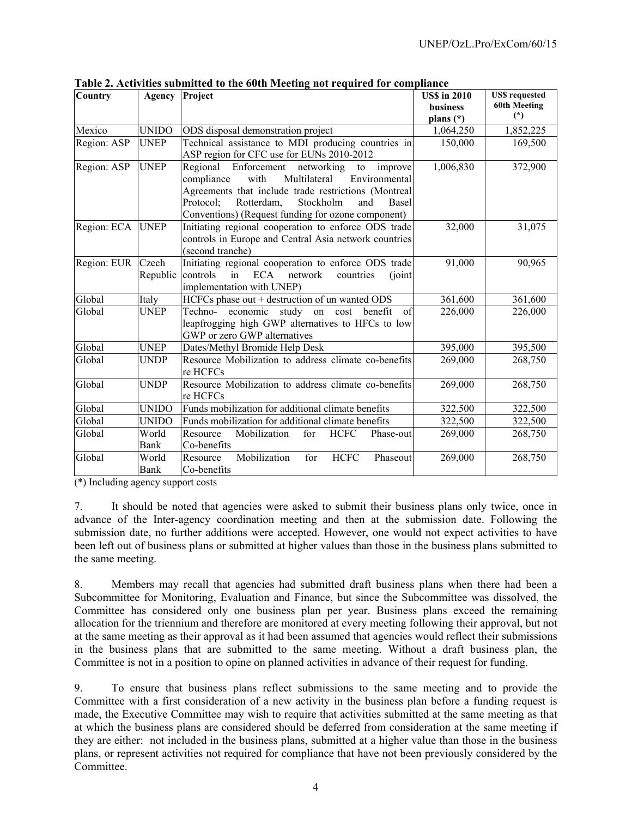| <b>Country</b>        | Agency        | Project                                                                                                                                                                                                                                                                       | <b>USS</b> in 2010<br>business<br>plans $(*)$ | <b>US\$</b> requested<br>60th Meeting<br>$(*)$ |
|-----------------------|---------------|-------------------------------------------------------------------------------------------------------------------------------------------------------------------------------------------------------------------------------------------------------------------------------|-----------------------------------------------|------------------------------------------------|
| Mexico                | <b>UNIDO</b>  | ODS disposal demonstration project                                                                                                                                                                                                                                            | 1,064,250                                     | 1,852,225                                      |
| Region: ASP           | <b>UNEP</b>   | Technical assistance to MDI producing countries in<br>ASP region for CFC use for EUNs 2010-2012                                                                                                                                                                               | 150,000                                       | 169,500                                        |
| Region: ASP           | <b>UNEP</b>   | Regional Enforcement networking<br>improve<br>to<br>Multilateral<br>Environmental<br>compliance<br>with<br>Agreements that include trade restrictions (Montreal<br>Rotterdam,<br>Stockholm<br>Protocol;<br>and<br>Basel<br>Conventions) (Request funding for ozone component) | 1,006,830                                     | 372,900                                        |
| Region: ECA UNEP      |               | Initiating regional cooperation to enforce ODS trade<br>controls in Europe and Central Asia network countries<br>(second tranche)                                                                                                                                             | 32,000                                        | 31,075                                         |
| Region: EUR Czech     | Republic      | Initiating regional cooperation to enforce ODS trade<br>ECA network<br>controls<br>countries<br>in<br>(joint)<br>implementation with UNEP)                                                                                                                                    | 91,000                                        | 90,965                                         |
| Global                | Italy         | HCFCs phase out + destruction of un wanted ODS                                                                                                                                                                                                                                | 361,600                                       | 361,600                                        |
| Global                | <b>UNEP</b>   | Techno- economic study on cost<br>benefit<br>of<br>leapfrogging high GWP alternatives to HFCs to low<br>GWP or zero GWP alternatives                                                                                                                                          | 226,000                                       | 226,000                                        |
| Global                | <b>UNEP</b>   | Dates/Methyl Bromide Help Desk                                                                                                                                                                                                                                                | 395,000                                       | 395,500                                        |
| Global                | <b>UNDP</b>   | Resource Mobilization to address climate co-benefits<br>re HCFCs                                                                                                                                                                                                              | 269,000                                       | 268,750                                        |
| Global                | <b>UNDP</b>   | Resource Mobilization to address climate co-benefits<br>re HCFCs                                                                                                                                                                                                              | 269,000                                       | 268,750                                        |
| Global                | <b>UNIDO</b>  | Funds mobilization for additional climate benefits                                                                                                                                                                                                                            | 322,500                                       | 322,500                                        |
| Global                | <b>UNIDO</b>  | Funds mobilization for additional climate benefits                                                                                                                                                                                                                            | 322,500                                       | 322,500                                        |
| Global                | World<br>Bank | Mobilization<br>for<br><b>HCFC</b><br>Resource<br>Phase-out<br>Co-benefits                                                                                                                                                                                                    | 269,000                                       | 268,750                                        |
| Global<br>$(4) T$ 1 1 | World<br>Bank | Mobilization<br><b>HCFC</b><br>for<br>Resource<br>Phaseout<br>Co-benefits                                                                                                                                                                                                     | 269,000                                       | 268,750                                        |

**Table 2. Activities submitted to the 60th Meeting not required for compliance** 

(\*) Including agency support costs

7. It should be noted that agencies were asked to submit their business plans only twice, once in advance of the Inter-agency coordination meeting and then at the submission date. Following the submission date, no further additions were accepted. However, one would not expect activities to have been left out of business plans or submitted at higher values than those in the business plans submitted to the same meeting.

8. Members may recall that agencies had submitted draft business plans when there had been a Subcommittee for Monitoring, Evaluation and Finance, but since the Subcommittee was dissolved, the Committee has considered only one business plan per year. Business plans exceed the remaining allocation for the triennium and therefore are monitored at every meeting following their approval, but not at the same meeting as their approval as it had been assumed that agencies would reflect their submissions in the business plans that are submitted to the same meeting. Without a draft business plan, the Committee is not in a position to opine on planned activities in advance of their request for funding.

9. To ensure that business plans reflect submissions to the same meeting and to provide the Committee with a first consideration of a new activity in the business plan before a funding request is made, the Executive Committee may wish to require that activities submitted at the same meeting as that at which the business plans are considered should be deferred from consideration at the same meeting if they are either: not included in the business plans, submitted at a higher value than those in the business plans, or represent activities not required for compliance that have not been previously considered by the Committee.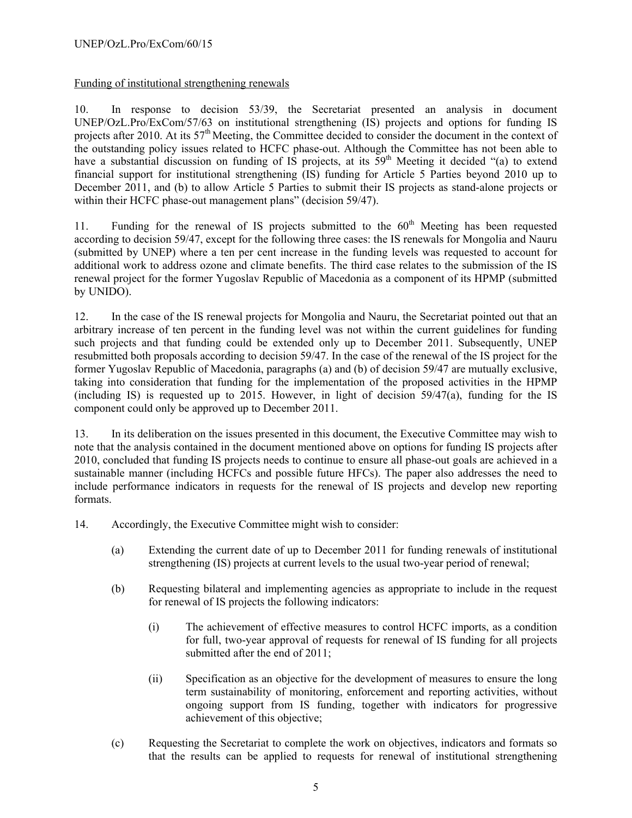Funding of institutional strengthening renewals

10. In response to decision 53/39, the Secretariat presented an analysis in document UNEP/OzL.Pro/ExCom/57/63 on institutional strengthening (IS) projects and options for funding IS projects after 2010. At its 57<sup>th</sup> Meeting, the Committee decided to consider the document in the context of the outstanding policy issues related to HCFC phase-out. Although the Committee has not been able to have a substantial discussion on funding of  $\overrightarrow{IS}$  projects, at its  $\overline{59}^{th}$  Meeting it decided "(a) to extend financial support for institutional strengthening (IS) funding for Article 5 Parties beyond 2010 up to December 2011, and (b) to allow Article 5 Parties to submit their IS projects as stand-alone projects or within their HCFC phase-out management plans" (decision 59/47).

11. Funding for the renewal of IS projects submitted to the  $60<sup>th</sup>$  Meeting has been requested according to decision 59/47, except for the following three cases: the IS renewals for Mongolia and Nauru (submitted by UNEP) where a ten per cent increase in the funding levels was requested to account for additional work to address ozone and climate benefits. The third case relates to the submission of the IS renewal project for the former Yugoslav Republic of Macedonia as a component of its HPMP (submitted by UNIDO).

12. In the case of the IS renewal projects for Mongolia and Nauru, the Secretariat pointed out that an arbitrary increase of ten percent in the funding level was not within the current guidelines for funding such projects and that funding could be extended only up to December 2011. Subsequently, UNEP resubmitted both proposals according to decision 59/47. In the case of the renewal of the IS project for the former Yugoslav Republic of Macedonia, paragraphs (a) and (b) of decision 59/47 are mutually exclusive, taking into consideration that funding for the implementation of the proposed activities in the HPMP (including IS) is requested up to 2015. However, in light of decision 59/47(a), funding for the IS component could only be approved up to December 2011.

13. In its deliberation on the issues presented in this document, the Executive Committee may wish to note that the analysis contained in the document mentioned above on options for funding IS projects after 2010, concluded that funding IS projects needs to continue to ensure all phase-out goals are achieved in a sustainable manner (including HCFCs and possible future HFCs). The paper also addresses the need to include performance indicators in requests for the renewal of IS projects and develop new reporting formats.

- 14. Accordingly, the Executive Committee might wish to consider:
	- (a) Extending the current date of up to December 2011 for funding renewals of institutional strengthening (IS) projects at current levels to the usual two-year period of renewal;
	- (b) Requesting bilateral and implementing agencies as appropriate to include in the request for renewal of IS projects the following indicators:
		- (i) The achievement of effective measures to control HCFC imports, as a condition for full, two-year approval of requests for renewal of IS funding for all projects submitted after the end of 2011;
		- (ii) Specification as an objective for the development of measures to ensure the long term sustainability of monitoring, enforcement and reporting activities, without ongoing support from IS funding, together with indicators for progressive achievement of this objective;
	- (c) Requesting the Secretariat to complete the work on objectives, indicators and formats so that the results can be applied to requests for renewal of institutional strengthening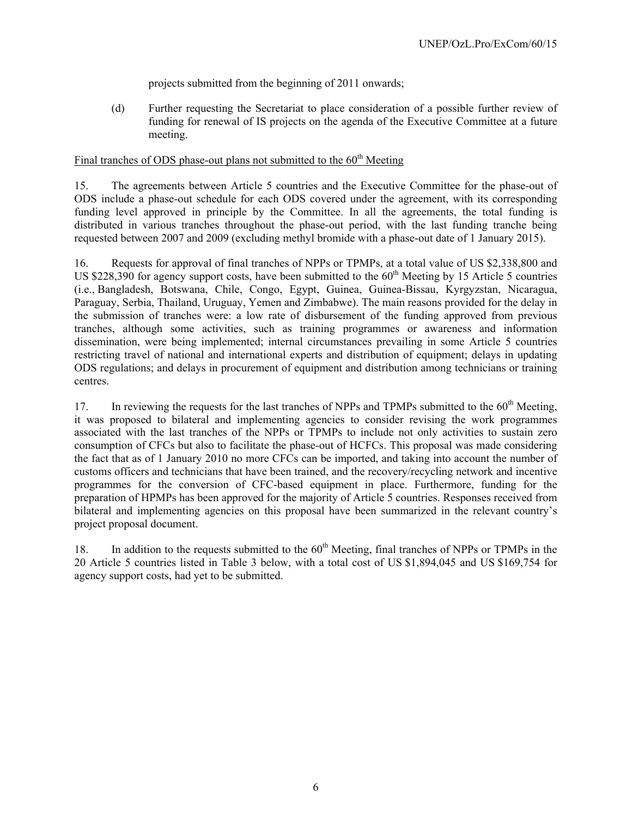projects submitted from the beginning of 2011 onwards;

(d) Further requesting the Secretariat to place consideration of a possible further review of funding for renewal of IS projects on the agenda of the Executive Committee at a future meeting.

### Final tranches of ODS phase-out plans not submitted to the  $60<sup>th</sup>$  Meeting

15. The agreements between Article 5 countries and the Executive Committee for the phase-out of ODS include a phase-out schedule for each ODS covered under the agreement, with its corresponding funding level approved in principle by the Committee. In all the agreements, the total funding is distributed in various tranches throughout the phase-out period, with the last funding tranche being requested between 2007 and 2009 (excluding methyl bromide with a phase-out date of 1 January 2015).

16. Requests for approval of final tranches of NPPs or TPMPs, at a total value of US \$2,338,800 and US \$228,390 for agency support costs, have been submitted to the  $60<sup>th</sup>$  Meeting by 15 Article 5 countries (i.e., Bangladesh, Botswana, Chile, Congo, Egypt, Guinea, Guinea-Bissau, Kyrgyzstan, Nicaragua, Paraguay, Serbia, Thailand, Uruguay, Yemen and Zimbabwe). The main reasons provided for the delay in the submission of tranches were: a low rate of disbursement of the funding approved from previous tranches, although some activities, such as training programmes or awareness and information dissemination, were being implemented; internal circumstances prevailing in some Article 5 countries restricting travel of national and international experts and distribution of equipment; delays in updating ODS regulations; and delays in procurement of equipment and distribution among technicians or training centres.

17. In reviewing the requests for the last tranches of NPPs and TPMPs submitted to the 60<sup>th</sup> Meeting. it was proposed to bilateral and implementing agencies to consider revising the work programmes associated with the last tranches of the NPPs or TPMPs to include not only activities to sustain zero consumption of CFCs but also to facilitate the phase-out of HCFCs. This proposal was made considering the fact that as of 1 January 2010 no more CFCs can be imported, and taking into account the number of customs officers and technicians that have been trained, and the recovery/recycling network and incentive programmes for the conversion of CFC-based equipment in place. Furthermore, funding for the preparation of HPMPs has been approved for the majority of Article 5 countries. Responses received from bilateral and implementing agencies on this proposal have been summarized in the relevant country's project proposal document.

18. In addition to the requests submitted to the 60<sup>th</sup> Meeting, final tranches of NPPs or TPMPs in the 20 Article 5 countries listed in Table 3 below, with a total cost of US \$1,894,045 and US \$169,754 for agency support costs, had yet to be submitted.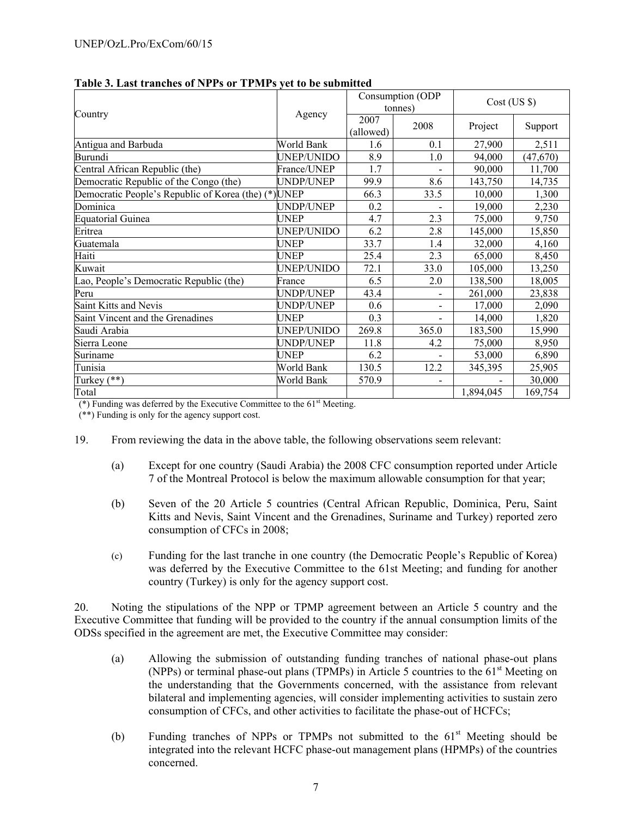|                                                      |             |                   | Consumption (ODP<br>tonnes) | $Cost$ (US $\$ ) |           |  |
|------------------------------------------------------|-------------|-------------------|-----------------------------|------------------|-----------|--|
| Country                                              | Agency      | 2007<br>(allowed) | 2008                        | Project          | Support   |  |
| Antigua and Barbuda                                  | World Bank  | 1.6               | 0.1                         | 27,900           | 2,511     |  |
| Burundi                                              | UNEP/UNIDO  | 8.9               | 1.0                         | 94,000           | (47, 670) |  |
| Central African Republic (the)                       | France/UNEP | 1.7               |                             | 90,000           | 11,700    |  |
| Democratic Republic of the Congo (the)               | UNDP/UNEP   | 99.9              | 8.6                         | 143,750          | 14,735    |  |
| Democratic People's Republic of Korea (the) (*) UNEP |             | 66.3              | 33.5                        | 10,000           | 1,300     |  |
| Dominica                                             | UNDP/UNEP   | 0.2               |                             | 19,000           | 2,230     |  |
| <b>Equatorial Guinea</b>                             | UNEP        | 4.7               | 2.3                         | 75,000           | 9,750     |  |
| Eritrea                                              | UNEP/UNIDO  | 6.2               | 2.8                         | 145,000          | 15,850    |  |
| Guatemala                                            | UNEP        | 33.7              | 1.4                         | 32,000           | 4,160     |  |
| Haiti                                                | UNEP        | 25.4              | 2.3                         | 65,000           | 8,450     |  |
| Kuwait                                               | UNEP/UNIDO  | 72.1              | 33.0                        | 105,000          | 13,250    |  |
| Lao, People's Democratic Republic (the)              | France      | 6.5               | 2.0                         | 138,500          | 18,005    |  |
| Peru                                                 | UNDP/UNEP   | 43.4              |                             | 261,000          | 23,838    |  |
| Saint Kitts and Nevis                                | UNDP/UNEP   | 0.6               | $\overline{\phantom{a}}$    | 17,000           | 2,090     |  |
| Saint Vincent and the Grenadines                     | UNEP        | 0.3               |                             | 14,000           | 1,820     |  |
| Saudi Arabia                                         | UNEP/UNIDO  | 269.8             | 365.0                       | 183,500          | 15,990    |  |
| Sierra Leone                                         | UNDP/UNEP   | 11.8              | 4.2                         | 75,000           | 8,950     |  |
| Suriname                                             | UNEP        | 6.2               |                             | 53,000           | 6,890     |  |
| Tunisia                                              | World Bank  | 130.5             | 12.2                        | 345,395          | 25,905    |  |
| Turkey $(**)$                                        | World Bank  | 570.9             |                             |                  | 30,000    |  |
| Total                                                |             |                   |                             | 1,894,045        | 169,754   |  |

#### **Table 3. Last tranches of NPPs or TPMPs yet to be submitted**

( $*$ ) Funding was deferred by the Executive Committee to the  $61<sup>st</sup>$  Meeting.

(\*\*) Funding is only for the agency support cost.

- 19. From reviewing the data in the above table, the following observations seem relevant:
	- (a) Except for one country (Saudi Arabia) the 2008 CFC consumption reported under Article 7 of the Montreal Protocol is below the maximum allowable consumption for that year;
	- (b) Seven of the 20 Article 5 countries (Central African Republic, Dominica, Peru, Saint Kitts and Nevis, Saint Vincent and the Grenadines, Suriname and Turkey) reported zero consumption of CFCs in 2008;
	- (c) Funding for the last tranche in one country (the Democratic People's Republic of Korea) was deferred by the Executive Committee to the 61st Meeting; and funding for another country (Turkey) is only for the agency support cost.

20. Noting the stipulations of the NPP or TPMP agreement between an Article 5 country and the Executive Committee that funding will be provided to the country if the annual consumption limits of the ODSs specified in the agreement are met, the Executive Committee may consider:

- (a) Allowing the submission of outstanding funding tranches of national phase-out plans (NPPs) or terminal phase-out plans (TPMPs) in Article 5 countries to the  $61<sup>st</sup>$  Meeting on the understanding that the Governments concerned, with the assistance from relevant bilateral and implementing agencies, will consider implementing activities to sustain zero consumption of CFCs, and other activities to facilitate the phase-out of HCFCs;
- (b) Funding tranches of NPPs or TPMPs not submitted to the  $61<sup>st</sup>$  Meeting should be integrated into the relevant HCFC phase-out management plans (HPMPs) of the countries concerned.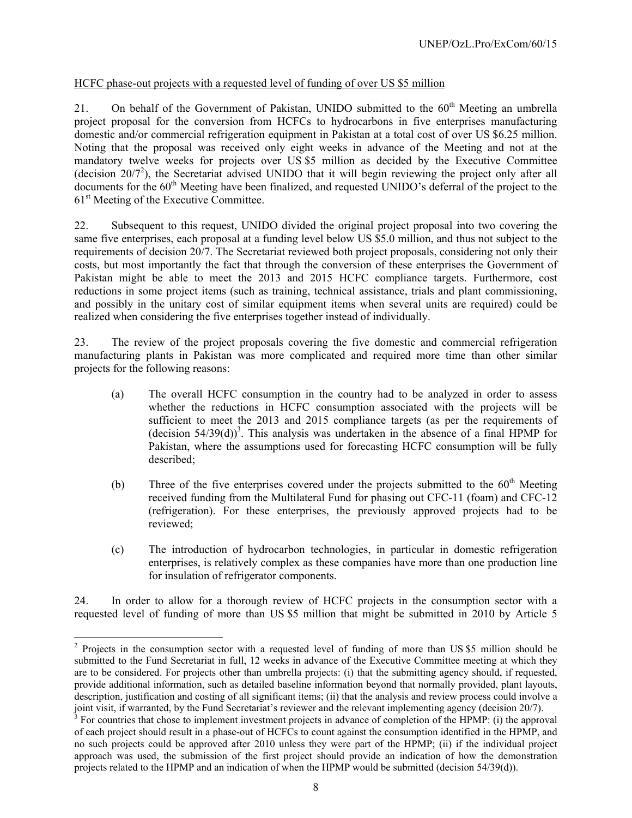### HCFC phase-out projects with a requested level of funding of over US \$5 million

21. On behalf of the Government of Pakistan, UNIDO submitted to the  $60<sup>th</sup>$  Meeting an umbrella project proposal for the conversion from HCFCs to hydrocarbons in five enterprises manufacturing domestic and/or commercial refrigeration equipment in Pakistan at a total cost of over US \$6.25 million. Noting that the proposal was received only eight weeks in advance of the Meeting and not at the mandatory twelve weeks for projects over US \$5 million as decided by the Executive Committee (decision  $20/7^2$ ), the Secretariat advised UNIDO that it will begin reviewing the project only after all documents for the 60<sup>th</sup> Meeting have been finalized, and requested UNIDO's deferral of the project to the 61<sup>st</sup> Meeting of the Executive Committee.

22. Subsequent to this request, UNIDO divided the original project proposal into two covering the same five enterprises, each proposal at a funding level below US \$5.0 million, and thus not subject to the requirements of decision 20/7. The Secretariat reviewed both project proposals, considering not only their costs, but most importantly the fact that through the conversion of these enterprises the Government of Pakistan might be able to meet the 2013 and 2015 HCFC compliance targets. Furthermore, cost reductions in some project items (such as training, technical assistance, trials and plant commissioning, and possibly in the unitary cost of similar equipment items when several units are required) could be realized when considering the five enterprises together instead of individually.

23. The review of the project proposals covering the five domestic and commercial refrigeration manufacturing plants in Pakistan was more complicated and required more time than other similar projects for the following reasons:

- (a) The overall HCFC consumption in the country had to be analyzed in order to assess whether the reductions in HCFC consumption associated with the projects will be sufficient to meet the 2013 and 2015 compliance targets (as per the requirements of (decision  $54/39(d)$ )<sup>3</sup>. This analysis was undertaken in the absence of a final HPMP for Pakistan, where the assumptions used for forecasting HCFC consumption will be fully described;
- (b) Three of the five enterprises covered under the projects submitted to the  $60<sup>th</sup>$  Meeting received funding from the Multilateral Fund for phasing out CFC-11 (foam) and CFC-12 (refrigeration). For these enterprises, the previously approved projects had to be reviewed;
- (c) The introduction of hydrocarbon technologies, in particular in domestic refrigeration enterprises, is relatively complex as these companies have more than one production line for insulation of refrigerator components.

24. In order to allow for a thorough review of HCFC projects in the consumption sector with a requested level of funding of more than US \$5 million that might be submitted in 2010 by Article 5

1

<sup>&</sup>lt;sup>2</sup> Projects in the consumption sector with a requested level of funding of more than US \$5 million should be submitted to the Fund Secretariat in full, 12 weeks in advance of the Executive Committee meeting at which they are to be considered. For projects other than umbrella projects: (i) that the submitting agency should, if requested, provide additional information, such as detailed baseline information beyond that normally provided, plant layouts, description, justification and costing of all significant items; (ii) that the analysis and review process could involve a joint visit, if warranted, by the Fund Secretariat's reviewer and the relevant implementing agency (decision 20/7).

 $\sigma$ <sup>3</sup> For countries that chose to implement investment projects in advance of completion of the HPMP: (i) the approval of each project should result in a phase-out of HCFCs to count against the consumption identified in the HPMP, and no such projects could be approved after 2010 unless they were part of the HPMP; (ii) if the individual project approach was used, the submission of the first project should provide an indication of how the demonstration projects related to the HPMP and an indication of when the HPMP would be submitted (decision 54/39(d)).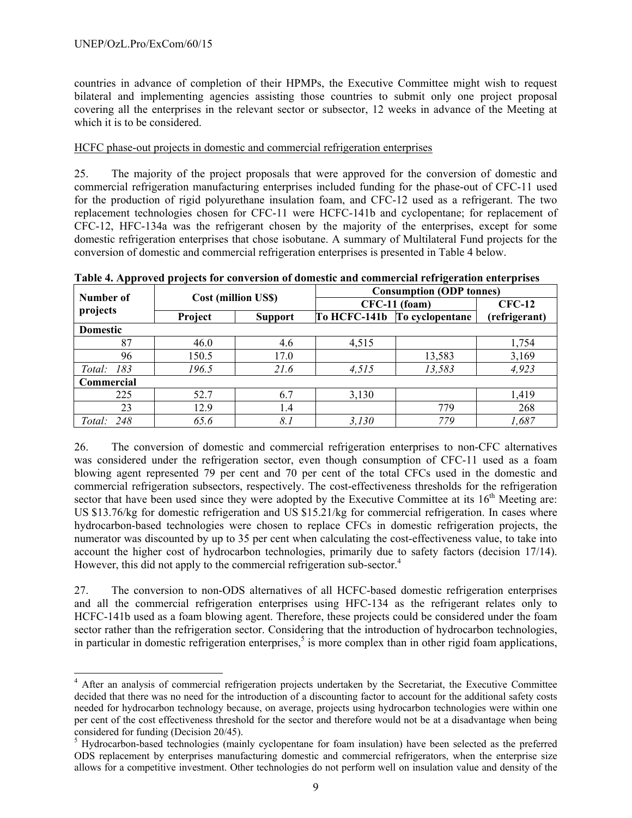countries in advance of completion of their HPMPs, the Executive Committee might wish to request bilateral and implementing agencies assisting those countries to submit only one project proposal covering all the enterprises in the relevant sector or subsector, 12 weeks in advance of the Meeting at which it is to be considered.

#### HCFC phase-out projects in domestic and commercial refrigeration enterprises

25. The majority of the project proposals that were approved for the conversion of domestic and commercial refrigeration manufacturing enterprises included funding for the phase-out of CFC-11 used for the production of rigid polyurethane insulation foam, and CFC-12 used as a refrigerant. The two replacement technologies chosen for CFC-11 were HCFC-141b and cyclopentane; for replacement of CFC-12, HFC-134a was the refrigerant chosen by the majority of the enterprises, except for some domestic refrigeration enterprises that chose isobutane. A summary of Multilateral Fund projects for the conversion of domestic and commercial refrigeration enterprises is presented in Table 4 below.

|                 |         |                            | <b>Consumption (ODP tonnes)</b> |                 |               |  |  |
|-----------------|---------|----------------------------|---------------------------------|-----------------|---------------|--|--|
| Number of       |         | <b>Cost (million US\$)</b> |                                 | CFC-11 (foam)   |               |  |  |
| projects        | Project | <b>Support</b>             | To HCFC-141b                    | To cyclopentane | (refrigerant) |  |  |
| <b>Domestic</b> |         |                            |                                 |                 |               |  |  |
| 87              | 46.0    | 4.6                        | 4,515                           |                 | 1,754         |  |  |
| 96              | 150.5   | 17.0                       |                                 | 13,583          | 3,169         |  |  |
| 183<br>Total:   | 196.5   | 21.6                       | 4,515                           | 13,583          | 4,923         |  |  |
| Commercial      |         |                            |                                 |                 |               |  |  |
| 225             | 52.7    | 6.7                        | 3,130                           |                 | 1,419         |  |  |
| 23              | 12.9    | 1.4                        |                                 | 779             | 268           |  |  |
| 248<br>Total:   | 65.6    | 8.1                        | 3,130                           | 779             | 1,687         |  |  |

**Table 4. Approved projects for conversion of domestic and commercial refrigeration enterprises** 

26. The conversion of domestic and commercial refrigeration enterprises to non-CFC alternatives was considered under the refrigeration sector, even though consumption of CFC-11 used as a foam blowing agent represented 79 per cent and 70 per cent of the total CFCs used in the domestic and commercial refrigeration subsectors, respectively. The cost-effectiveness thresholds for the refrigeration sector that have been used since they were adopted by the Executive Committee at its 16<sup>th</sup> Meeting are: US \$13.76/kg for domestic refrigeration and US \$15.21/kg for commercial refrigeration. In cases where hydrocarbon-based technologies were chosen to replace CFCs in domestic refrigeration projects, the numerator was discounted by up to 35 per cent when calculating the cost-effectiveness value, to take into account the higher cost of hydrocarbon technologies, primarily due to safety factors (decision 17/14). However, this did not apply to the commercial refrigeration sub-sector.<sup>4</sup>

27. The conversion to non-ODS alternatives of all HCFC-based domestic refrigeration enterprises and all the commercial refrigeration enterprises using HFC-134 as the refrigerant relates only to HCFC-141b used as a foam blowing agent. Therefore, these projects could be considered under the foam sector rather than the refrigeration sector. Considering that the introduction of hydrocarbon technologies, in particular in domestic refrigeration enterprises,<sup>5</sup> is more complex than in other rigid foam applications,

<sup>1</sup> <sup>4</sup> After an analysis of commercial refrigeration projects undertaken by the Secretariat, the Executive Committee decided that there was no need for the introduction of a discounting factor to account for the additional safety costs needed for hydrocarbon technology because, on average, projects using hydrocarbon technologies were within one per cent of the cost effectiveness threshold for the sector and therefore would not be at a disadvantage when being considered for funding (Decision 20/45).

<sup>&</sup>lt;sup>5</sup> Hydrocarbon-based technologies (mainly cyclopentane for foam insulation) have been selected as the preferred ODS replacement by enterprises manufacturing domestic and commercial refrigerators, when the enterprise size allows for a competitive investment. Other technologies do not perform well on insulation value and density of the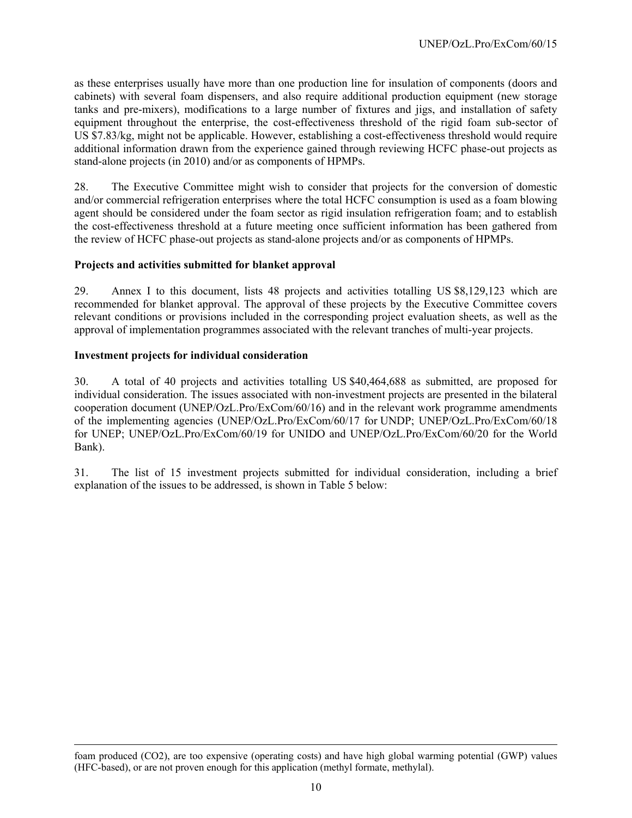as these enterprises usually have more than one production line for insulation of components (doors and cabinets) with several foam dispensers, and also require additional production equipment (new storage tanks and pre-mixers), modifications to a large number of fixtures and jigs, and installation of safety equipment throughout the enterprise, the cost-effectiveness threshold of the rigid foam sub-sector of US \$7.83/kg, might not be applicable. However, establishing a cost-effectiveness threshold would require additional information drawn from the experience gained through reviewing HCFC phase-out projects as stand-alone projects (in 2010) and/or as components of HPMPs.

28. The Executive Committee might wish to consider that projects for the conversion of domestic and/or commercial refrigeration enterprises where the total HCFC consumption is used as a foam blowing agent should be considered under the foam sector as rigid insulation refrigeration foam; and to establish the cost-effectiveness threshold at a future meeting once sufficient information has been gathered from the review of HCFC phase-out projects as stand-alone projects and/or as components of HPMPs.

#### **Projects and activities submitted for blanket approval**

29. Annex I to this document, lists 48 projects and activities totalling US \$8,129,123 which are recommended for blanket approval. The approval of these projects by the Executive Committee covers relevant conditions or provisions included in the corresponding project evaluation sheets, as well as the approval of implementation programmes associated with the relevant tranches of multi-year projects.

#### **Investment projects for individual consideration**

l

30. A total of 40 projects and activities totalling US \$40,464,688 as submitted, are proposed for individual consideration. The issues associated with non-investment projects are presented in the bilateral cooperation document (UNEP/OzL.Pro/ExCom/60/16) and in the relevant work programme amendments of the implementing agencies (UNEP/OzL.Pro/ExCom/60/17 for UNDP; UNEP/OzL.Pro/ExCom/60/18 for UNEP; UNEP/OzL.Pro/ExCom/60/19 for UNIDO and UNEP/OzL.Pro/ExCom/60/20 for the World Bank).

31. The list of 15 investment projects submitted for individual consideration, including a brief explanation of the issues to be addressed, is shown in Table 5 below:

foam produced (CO2), are too expensive (operating costs) and have high global warming potential (GWP) values (HFC-based), or are not proven enough for this application (methyl formate, methylal).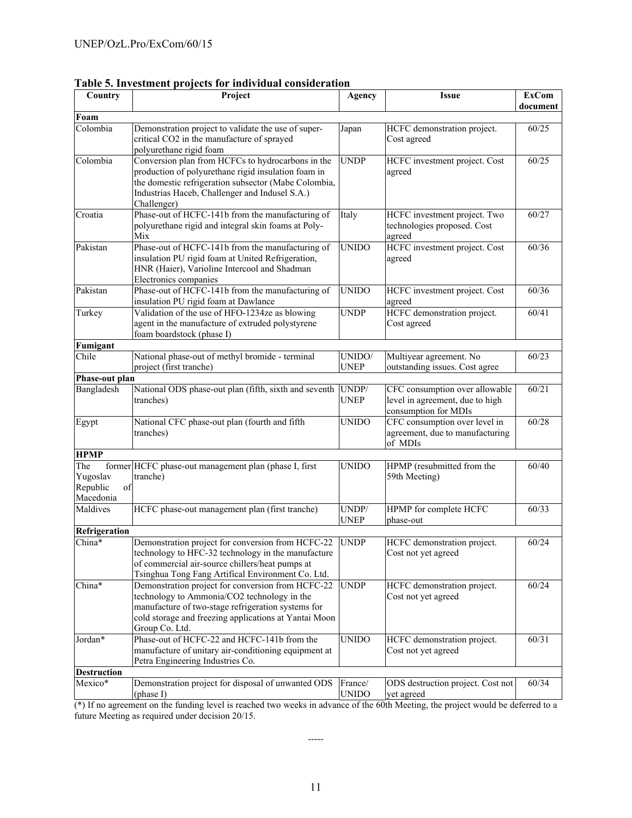| Country                                        | Project                                                                                                                                                                                                                           | Agency                  | <b>Issue</b>                                                                              | <b>ExCom</b><br>document |
|------------------------------------------------|-----------------------------------------------------------------------------------------------------------------------------------------------------------------------------------------------------------------------------------|-------------------------|-------------------------------------------------------------------------------------------|--------------------------|
| Foam                                           |                                                                                                                                                                                                                                   |                         |                                                                                           |                          |
| Colombia                                       | Demonstration project to validate the use of super-<br>critical CO2 in the manufacture of sprayed<br>polyurethane rigid foam                                                                                                      | Japan                   | HCFC demonstration project.<br>Cost agreed                                                | 60/25                    |
| Colombia                                       | Conversion plan from HCFCs to hydrocarbons in the<br>production of polyurethane rigid insulation foam in<br>the domestic refrigeration subsector (Mabe Colombia,<br>Industrias Haceb, Challenger and Indusel S.A.)<br>Challenger) | <b>UNDP</b>             | HCFC investment project. Cost<br>agreed                                                   | 60/25                    |
| Croatia                                        | Phase-out of HCFC-141b from the manufacturing of<br>polyurethane rigid and integral skin foams at Poly-<br>Mix                                                                                                                    | Italy                   | HCFC investment project. Two<br>technologies proposed. Cost<br>agreed                     | 60/27                    |
| Pakistan                                       | Phase-out of HCFC-141b from the manufacturing of<br>insulation PU rigid foam at United Refrigeration,<br>HNR (Haier), Varioline Intercool and Shadman<br>Electronics companies                                                    | <b>UNIDO</b>            | HCFC investment project. Cost<br>agreed                                                   | 60/36                    |
| Pakistan                                       | Phase-out of HCFC-141b from the manufacturing of<br>insulation PU rigid foam at Dawlance                                                                                                                                          | <b>UNIDO</b>            | HCFC investment project. Cost<br>agreed                                                   | 60/36                    |
| Turkey                                         | Validation of the use of HFO-1234ze as blowing<br>agent in the manufacture of extruded polystyrene<br>foam boardstock (phase I)                                                                                                   | <b>UNDP</b>             | HCFC demonstration project.<br>Cost agreed                                                | 60/41                    |
| Fumigant                                       |                                                                                                                                                                                                                                   |                         |                                                                                           |                          |
| Chile                                          | National phase-out of methyl bromide - terminal<br>project (first tranche)                                                                                                                                                        | UNIDO/<br><b>UNEP</b>   | Multiyear agreement. No<br>outstanding issues. Cost agree                                 | 60/23                    |
| Phase-out plan                                 |                                                                                                                                                                                                                                   |                         |                                                                                           |                          |
| Bangladesh                                     | National ODS phase-out plan (fifth, sixth and seventh<br>tranches)                                                                                                                                                                | UNDP/<br><b>UNEP</b>    | CFC consumption over allowable<br>level in agreement, due to high<br>consumption for MDIs | 60/21                    |
| Egypt                                          | National CFC phase-out plan (fourth and fifth<br>tranches)                                                                                                                                                                        | <b>UNIDO</b>            | CFC consumption over level in<br>agreement, due to manufacturing<br>of MDIs               | 60/28                    |
| <b>HPMP</b>                                    |                                                                                                                                                                                                                                   |                         |                                                                                           |                          |
| The<br>Yugoslav<br>Republic<br>of<br>Macedonia | former HCFC phase-out management plan (phase I, first<br>tranche)                                                                                                                                                                 | <b>UNIDO</b>            | HPMP (resubmitted from the<br>59th Meeting)                                               | 60/40                    |
| Maldives                                       | HCFC phase-out management plan (first tranche)                                                                                                                                                                                    | UNDP/<br><b>UNEP</b>    | HPMP for complete HCFC<br>phase-out                                                       | 60/33                    |
| Refrigeration                                  |                                                                                                                                                                                                                                   |                         |                                                                                           |                          |
| China*                                         | Demonstration project for conversion from HCFC-22<br>technology to HFC-32 technology in the manufacture<br>of commercial air-source chillers/heat pumps at<br>Tsinghua Tong Fang Artifical Environment Co. Ltd.                   | <b>UNDP</b>             | HCFC demonstration project.<br>Cost not yet agreed                                        | 60/24                    |
| $China*$                                       | Demonstration project for conversion from HCFC-22<br>technology to Ammonia/CO2 technology in the<br>manufacture of two-stage refrigeration systems for<br>cold storage and freezing applications at Yantai Moon<br>Group Co. Ltd. | <b>UNDP</b>             | HCFC demonstration project.<br>Cost not yet agreed                                        | 60/24                    |
| Jordan*                                        | Phase-out of HCFC-22 and HCFC-141b from the<br>manufacture of unitary air-conditioning equipment at<br>Petra Engineering Industries Co.                                                                                           | <b>UNIDO</b>            | HCFC demonstration project.<br>Cost not yet agreed                                        | 60/31                    |
| <b>Destruction</b>                             |                                                                                                                                                                                                                                   |                         |                                                                                           |                          |
| Mexico*                                        | Demonstration project for disposal of unwanted ODS<br>(phase I)                                                                                                                                                                   | France/<br><b>UNIDO</b> | ODS destruction project. Cost not<br>yet agreed                                           | 60/34                    |

**Table 5. Investment projects for individual consideration** 

(\*) If no agreement on the funding level is reached two weeks in advance of the 60th Meeting, the project would be deferred to a future Meeting as required under decision 20/15.

-----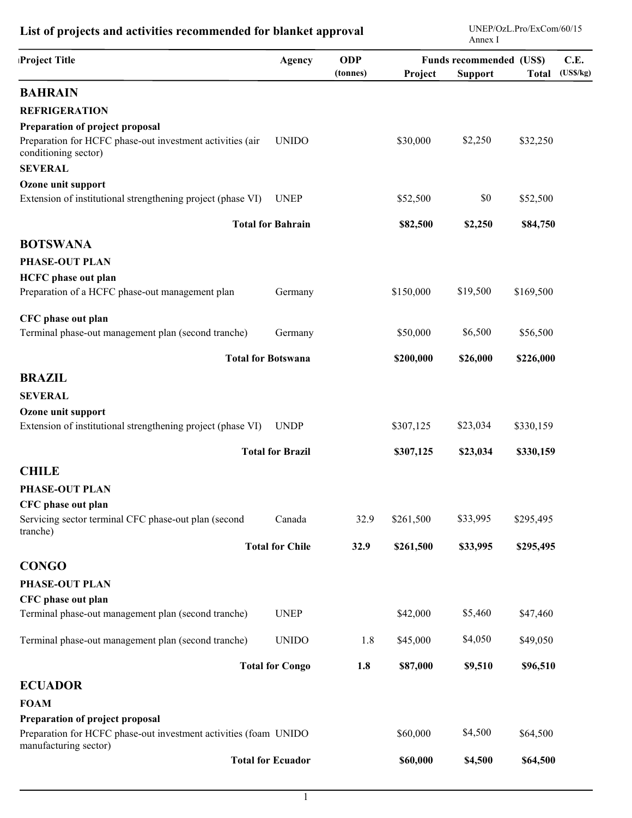| Project Title                                                                             | Agency                    | <b>ODP</b><br>(tonnes) | Project   | <b>Funds recommended (US\$)</b><br><b>Support</b> | <b>Total</b> | C.E.<br>(USS/kg) |
|-------------------------------------------------------------------------------------------|---------------------------|------------------------|-----------|---------------------------------------------------|--------------|------------------|
| <b>BAHRAIN</b>                                                                            |                           |                        |           |                                                   |              |                  |
| <b>REFRIGERATION</b>                                                                      |                           |                        |           |                                                   |              |                  |
| Preparation of project proposal                                                           |                           |                        |           |                                                   |              |                  |
| Preparation for HCFC phase-out investment activities (air<br>conditioning sector)         | <b>UNIDO</b>              |                        | \$30,000  | \$2,250                                           | \$32,250     |                  |
| <b>SEVERAL</b>                                                                            |                           |                        |           |                                                   |              |                  |
| Ozone unit support<br>Extension of institutional strengthening project (phase VI)         | <b>UNEP</b>               |                        | \$52,500  | \$0                                               | \$52,500     |                  |
|                                                                                           | <b>Total for Bahrain</b>  |                        | \$82,500  | \$2,250                                           | \$84,750     |                  |
| <b>BOTSWANA</b>                                                                           |                           |                        |           |                                                   |              |                  |
| <b>PHASE-OUT PLAN</b>                                                                     |                           |                        |           |                                                   |              |                  |
| <b>HCFC</b> phase out plan                                                                |                           |                        |           |                                                   |              |                  |
| Preparation of a HCFC phase-out management plan                                           | Germany                   |                        | \$150,000 | \$19,500                                          | \$169,500    |                  |
| CFC phase out plan                                                                        |                           |                        |           |                                                   |              |                  |
| Terminal phase-out management plan (second tranche)                                       | Germany                   |                        | \$50,000  | \$6,500                                           | \$56,500     |                  |
|                                                                                           | <b>Total for Botswana</b> |                        | \$200,000 | \$26,000                                          | \$226,000    |                  |
| <b>BRAZIL</b>                                                                             |                           |                        |           |                                                   |              |                  |
| <b>SEVERAL</b>                                                                            |                           |                        |           |                                                   |              |                  |
| Ozone unit support                                                                        |                           |                        |           |                                                   |              |                  |
| Extension of institutional strengthening project (phase VI)                               | <b>UNDP</b>               |                        | \$307,125 | \$23,034                                          | \$330,159    |                  |
|                                                                                           | <b>Total for Brazil</b>   |                        | \$307,125 | \$23,034                                          | \$330,159    |                  |
| <b>CHILE</b>                                                                              |                           |                        |           |                                                   |              |                  |
| <b>PHASE-OUT PLAN</b>                                                                     |                           |                        |           |                                                   |              |                  |
| CFC phase out plan                                                                        |                           |                        |           |                                                   |              |                  |
| Servicing sector terminal CFC phase-out plan (second<br>tranche)                          | Canada                    | 32.9                   | \$261,500 | \$33,995                                          | \$295,495    |                  |
|                                                                                           | <b>Total for Chile</b>    | 32.9                   | \$261,500 | \$33,995                                          | \$295,495    |                  |
| <b>CONGO</b>                                                                              |                           |                        |           |                                                   |              |                  |
| PHASE-OUT PLAN                                                                            |                           |                        |           |                                                   |              |                  |
| CFC phase out plan                                                                        |                           |                        |           |                                                   |              |                  |
| Terminal phase-out management plan (second tranche)                                       | <b>UNEP</b>               |                        | \$42,000  | \$5,460                                           | \$47,460     |                  |
| Terminal phase-out management plan (second tranche)                                       | <b>UNIDO</b>              | 1.8                    | \$45,000  | \$4,050                                           | \$49,050     |                  |
|                                                                                           | <b>Total for Congo</b>    | 1.8                    | \$87,000  | \$9,510                                           | \$96,510     |                  |
| <b>ECUADOR</b>                                                                            |                           |                        |           |                                                   |              |                  |
| <b>FOAM</b>                                                                               |                           |                        |           |                                                   |              |                  |
| Preparation of project proposal                                                           |                           |                        |           |                                                   |              |                  |
| Preparation for HCFC phase-out investment activities (foam UNIDO<br>manufacturing sector) |                           |                        | \$60,000  | \$4,500                                           | \$64,500     |                  |
|                                                                                           | <b>Total for Ecuador</b>  |                        | \$60,000  | \$4,500                                           | \$64,500     |                  |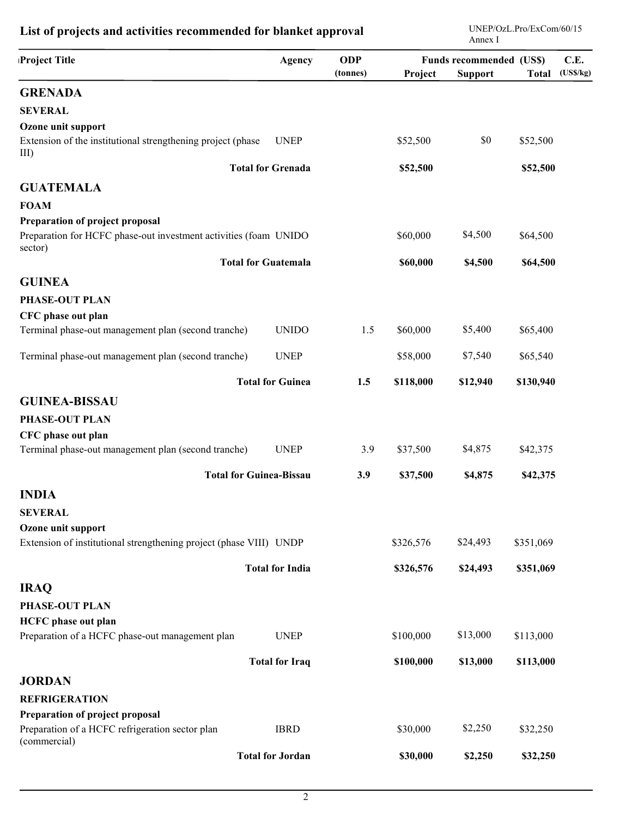| Project Title                                                               | Agency                     | <b>ODP</b><br>(tonnes) | Project   | <b>Funds recommended (US\$)</b><br><b>Support</b> | <b>Total</b> | C.E.<br>(USS/kg) |
|-----------------------------------------------------------------------------|----------------------------|------------------------|-----------|---------------------------------------------------|--------------|------------------|
| <b>GRENADA</b>                                                              |                            |                        |           |                                                   |              |                  |
| <b>SEVERAL</b>                                                              |                            |                        |           |                                                   |              |                  |
| Ozone unit support                                                          |                            |                        |           |                                                   |              |                  |
| Extension of the institutional strengthening project (phase<br>$III$ )      | <b>UNEP</b>                |                        | \$52,500  | \$0                                               | \$52,500     |                  |
|                                                                             | <b>Total for Grenada</b>   |                        | \$52,500  |                                                   | \$52,500     |                  |
| <b>GUATEMALA</b>                                                            |                            |                        |           |                                                   |              |                  |
| <b>FOAM</b>                                                                 |                            |                        |           |                                                   |              |                  |
| Preparation of project proposal                                             |                            |                        |           |                                                   |              |                  |
| Preparation for HCFC phase-out investment activities (foam UNIDO<br>sector) |                            |                        | \$60,000  | \$4,500                                           | \$64,500     |                  |
|                                                                             | <b>Total for Guatemala</b> |                        | \$60,000  | \$4,500                                           | \$64,500     |                  |
| <b>GUINEA</b>                                                               |                            |                        |           |                                                   |              |                  |
| <b>PHASE-OUT PLAN</b>                                                       |                            |                        |           |                                                   |              |                  |
| CFC phase out plan                                                          |                            |                        |           |                                                   |              |                  |
| Terminal phase-out management plan (second tranche)                         | <b>UNIDO</b>               | 1.5                    | \$60,000  | \$5,400                                           | \$65,400     |                  |
| Terminal phase-out management plan (second tranche)                         | <b>UNEP</b>                |                        | \$58,000  | \$7,540                                           | \$65,540     |                  |
|                                                                             | <b>Total for Guinea</b>    | 1.5                    | \$118,000 | \$12,940                                          | \$130,940    |                  |
| <b>GUINEA-BISSAU</b>                                                        |                            |                        |           |                                                   |              |                  |
| PHASE-OUT PLAN                                                              |                            |                        |           |                                                   |              |                  |
| CFC phase out plan                                                          |                            |                        |           |                                                   |              |                  |
| Terminal phase-out management plan (second tranche)                         | <b>UNEP</b>                | 3.9                    | \$37,500  | \$4,875                                           | \$42,375     |                  |
| <b>Total for Guinea-Bissau</b>                                              |                            | 3.9                    | \$37,500  | \$4,875                                           | \$42,375     |                  |
| <b>INDIA</b>                                                                |                            |                        |           |                                                   |              |                  |
| <b>SEVERAL</b>                                                              |                            |                        |           |                                                   |              |                  |
| Ozone unit support                                                          |                            |                        |           |                                                   |              |                  |
| Extension of institutional strengthening project (phase VIII) UNDP          |                            |                        | \$326,576 | \$24,493                                          | \$351,069    |                  |
|                                                                             | <b>Total for India</b>     |                        | \$326,576 | \$24,493                                          | \$351,069    |                  |
| <b>IRAQ</b>                                                                 |                            |                        |           |                                                   |              |                  |
| <b>PHASE-OUT PLAN</b>                                                       |                            |                        |           |                                                   |              |                  |
| <b>HCFC</b> phase out plan                                                  |                            |                        |           |                                                   |              |                  |
| Preparation of a HCFC phase-out management plan                             | <b>UNEP</b>                |                        | \$100,000 | \$13,000                                          | \$113,000    |                  |
|                                                                             | <b>Total for Iraq</b>      |                        | \$100,000 | \$13,000                                          | \$113,000    |                  |
| <b>JORDAN</b>                                                               |                            |                        |           |                                                   |              |                  |
| <b>REFRIGERATION</b>                                                        |                            |                        |           |                                                   |              |                  |
| Preparation of project proposal                                             |                            |                        |           |                                                   |              |                  |
| Preparation of a HCFC refrigeration sector plan<br>(commercial)             | <b>IBRD</b>                |                        | \$30,000  | \$2,250                                           | \$32,250     |                  |
|                                                                             | <b>Total for Jordan</b>    |                        | \$30,000  | \$2,250                                           | \$32,250     |                  |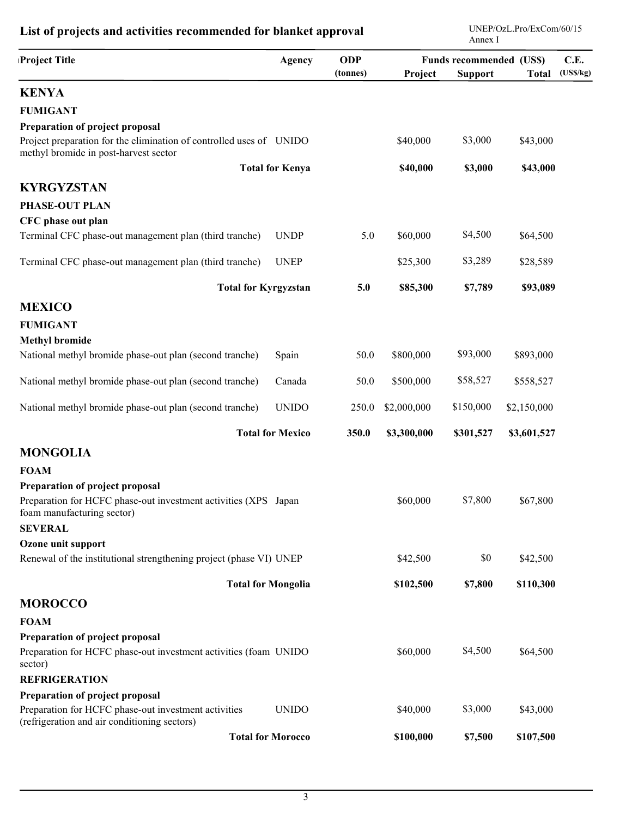| Project Title                                                                                                                    | Agency                    | <b>ODP</b><br>(tonnes) | Project     | <b>Funds recommended (US\$)</b><br><b>Support</b> | <b>Total</b> | C.E.<br>(USS/kg) |
|----------------------------------------------------------------------------------------------------------------------------------|---------------------------|------------------------|-------------|---------------------------------------------------|--------------|------------------|
| <b>KENYA</b>                                                                                                                     |                           |                        |             |                                                   |              |                  |
| <b>FUMIGANT</b>                                                                                                                  |                           |                        |             |                                                   |              |                  |
| Preparation of project proposal                                                                                                  |                           |                        |             |                                                   |              |                  |
| Project preparation for the elimination of controlled uses of UNIDO<br>methyl bromide in post-harvest sector                     |                           |                        | \$40,000    | \$3,000                                           | \$43,000     |                  |
|                                                                                                                                  | <b>Total for Kenya</b>    |                        | \$40,000    | \$3,000                                           | \$43,000     |                  |
| <b>KYRGYZSTAN</b>                                                                                                                |                           |                        |             |                                                   |              |                  |
| PHASE-OUT PLAN                                                                                                                   |                           |                        |             |                                                   |              |                  |
| CFC phase out plan                                                                                                               |                           |                        |             |                                                   |              |                  |
| Terminal CFC phase-out management plan (third tranche)                                                                           | <b>UNDP</b>               | 5.0                    | \$60,000    | \$4,500                                           | \$64,500     |                  |
| Terminal CFC phase-out management plan (third tranche)                                                                           | <b>UNEP</b>               |                        | \$25,300    | \$3,289                                           | \$28,589     |                  |
| <b>Total for Kyrgyzstan</b>                                                                                                      |                           | 5.0                    | \$85,300    | \$7,789                                           | \$93,089     |                  |
| <b>MEXICO</b>                                                                                                                    |                           |                        |             |                                                   |              |                  |
| <b>FUMIGANT</b>                                                                                                                  |                           |                        |             |                                                   |              |                  |
| <b>Methyl bromide</b>                                                                                                            |                           |                        |             |                                                   |              |                  |
| National methyl bromide phase-out plan (second tranche)                                                                          | Spain                     | 50.0                   | \$800,000   | \$93,000                                          | \$893,000    |                  |
| National methyl bromide phase-out plan (second tranche)                                                                          | Canada                    | 50.0                   | \$500,000   | \$58,527                                          | \$558,527    |                  |
| National methyl bromide phase-out plan (second tranche)                                                                          | <b>UNIDO</b>              | 250.0                  | \$2,000,000 | \$150,000                                         | \$2,150,000  |                  |
|                                                                                                                                  | <b>Total for Mexico</b>   | 350.0                  | \$3,300,000 | \$301,527                                         | \$3,601,527  |                  |
| <b>MONGOLIA</b>                                                                                                                  |                           |                        |             |                                                   |              |                  |
| <b>FOAM</b>                                                                                                                      |                           |                        |             |                                                   |              |                  |
| Preparation of project proposal<br>Preparation for HCFC phase-out investment activities (XPS Japan<br>foam manufacturing sector) |                           |                        | \$60,000    | \$7,800                                           | \$67,800     |                  |
| <b>SEVERAL</b>                                                                                                                   |                           |                        |             |                                                   |              |                  |
| Ozone unit support                                                                                                               |                           |                        |             |                                                   |              |                  |
| Renewal of the institutional strengthening project (phase VI) UNEP                                                               |                           |                        | \$42,500    | \$0                                               | \$42,500     |                  |
|                                                                                                                                  | <b>Total for Mongolia</b> |                        | \$102,500   | \$7,800                                           | \$110,300    |                  |
| <b>MOROCCO</b>                                                                                                                   |                           |                        |             |                                                   |              |                  |
| <b>FOAM</b>                                                                                                                      |                           |                        |             |                                                   |              |                  |
| Preparation of project proposal                                                                                                  |                           |                        |             |                                                   |              |                  |
| Preparation for HCFC phase-out investment activities (foam UNIDO<br>sector)                                                      |                           |                        | \$60,000    | \$4,500                                           | \$64,500     |                  |
| <b>REFRIGERATION</b>                                                                                                             |                           |                        |             |                                                   |              |                  |
| Preparation of project proposal                                                                                                  |                           |                        |             |                                                   |              |                  |
| Preparation for HCFC phase-out investment activities<br>(refrigeration and air conditioning sectors)                             | <b>UNIDO</b>              |                        | \$40,000    | \$3,000                                           | \$43,000     |                  |
|                                                                                                                                  | <b>Total for Morocco</b>  |                        | \$100,000   | \$7,500                                           | \$107,500    |                  |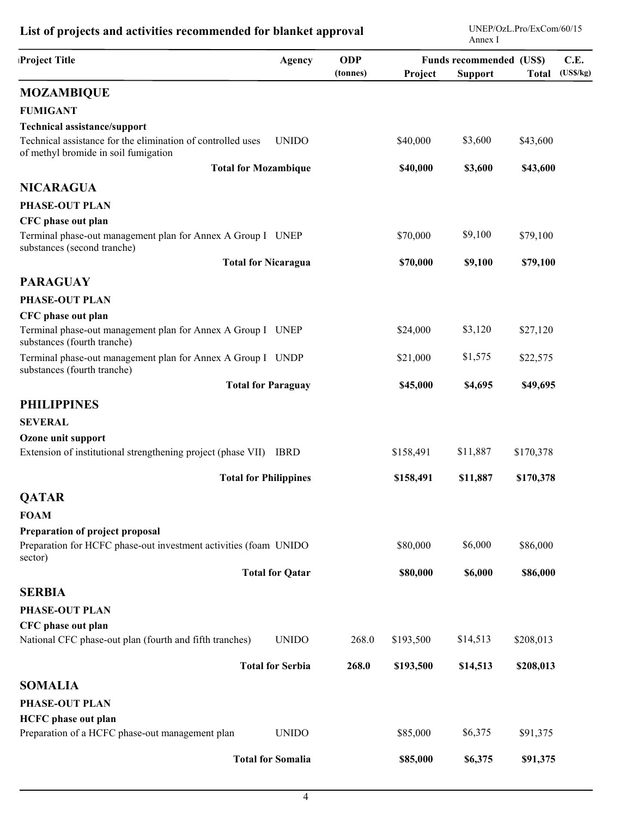| Project Title                                                                                       | <b>Agency</b>                | <b>ODP</b><br>(tonnes) | Project   | <b>Funds recommended (US\$)</b><br><b>Support</b> | <b>Total</b> | C.E.<br>(USS/kg) |
|-----------------------------------------------------------------------------------------------------|------------------------------|------------------------|-----------|---------------------------------------------------|--------------|------------------|
| <b>MOZAMBIQUE</b>                                                                                   |                              |                        |           |                                                   |              |                  |
| <b>FUMIGANT</b>                                                                                     |                              |                        |           |                                                   |              |                  |
| <b>Technical assistance/support</b>                                                                 |                              |                        |           |                                                   |              |                  |
| Technical assistance for the elimination of controlled uses<br>of methyl bromide in soil fumigation | <b>UNIDO</b>                 |                        | \$40,000  | \$3,600                                           | \$43,600     |                  |
|                                                                                                     | <b>Total for Mozambique</b>  |                        | \$40,000  | \$3,600                                           | \$43,600     |                  |
| <b>NICARAGUA</b>                                                                                    |                              |                        |           |                                                   |              |                  |
| <b>PHASE-OUT PLAN</b>                                                                               |                              |                        |           |                                                   |              |                  |
| CFC phase out plan                                                                                  |                              |                        |           |                                                   |              |                  |
| Terminal phase-out management plan for Annex A Group I UNEP<br>substances (second tranche)          |                              |                        | \$70,000  | \$9,100                                           | \$79,100     |                  |
|                                                                                                     | <b>Total for Nicaragua</b>   |                        | \$70,000  | \$9,100                                           | \$79,100     |                  |
| <b>PARAGUAY</b>                                                                                     |                              |                        |           |                                                   |              |                  |
| <b>PHASE-OUT PLAN</b>                                                                               |                              |                        |           |                                                   |              |                  |
| CFC phase out plan                                                                                  |                              |                        |           |                                                   |              |                  |
| Terminal phase-out management plan for Annex A Group I UNEP<br>substances (fourth tranche)          |                              |                        | \$24,000  | \$3,120                                           | \$27,120     |                  |
| Terminal phase-out management plan for Annex A Group I UNDP<br>substances (fourth tranche)          |                              |                        | \$21,000  | \$1,575                                           | \$22,575     |                  |
|                                                                                                     | <b>Total for Paraguay</b>    |                        | \$45,000  | \$4,695                                           | \$49,695     |                  |
| <b>PHILIPPINES</b>                                                                                  |                              |                        |           |                                                   |              |                  |
| <b>SEVERAL</b>                                                                                      |                              |                        |           |                                                   |              |                  |
| Ozone unit support                                                                                  |                              |                        |           |                                                   |              |                  |
| Extension of institutional strengthening project (phase VII) IBRD                                   |                              |                        | \$158,491 | \$11,887                                          | \$170,378    |                  |
|                                                                                                     | <b>Total for Philippines</b> |                        | \$158,491 | \$11,887                                          | \$170,378    |                  |
| <b>QATAR</b>                                                                                        |                              |                        |           |                                                   |              |                  |
| <b>FOAM</b>                                                                                         |                              |                        |           |                                                   |              |                  |
| Preparation of project proposal                                                                     |                              |                        |           |                                                   |              |                  |
| Preparation for HCFC phase-out investment activities (foam UNIDO<br>sector)                         |                              |                        | \$80,000  | \$6,000                                           | \$86,000     |                  |
|                                                                                                     | <b>Total for Qatar</b>       |                        | \$80,000  | \$6,000                                           | \$86,000     |                  |
| <b>SERBIA</b>                                                                                       |                              |                        |           |                                                   |              |                  |
| <b>PHASE-OUT PLAN</b>                                                                               |                              |                        |           |                                                   |              |                  |
| CFC phase out plan                                                                                  |                              |                        |           |                                                   |              |                  |
| National CFC phase-out plan (fourth and fifth tranches)                                             | <b>UNIDO</b>                 | 268.0                  | \$193,500 | \$14,513                                          | \$208,013    |                  |
|                                                                                                     | <b>Total for Serbia</b>      | 268.0                  | \$193,500 | \$14,513                                          | \$208,013    |                  |
| <b>SOMALIA</b>                                                                                      |                              |                        |           |                                                   |              |                  |
| PHASE-OUT PLAN                                                                                      |                              |                        |           |                                                   |              |                  |
| <b>HCFC</b> phase out plan                                                                          |                              |                        |           |                                                   |              |                  |
| Preparation of a HCFC phase-out management plan                                                     | <b>UNIDO</b>                 |                        | \$85,000  | \$6,375                                           | \$91,375     |                  |
|                                                                                                     | <b>Total for Somalia</b>     |                        | \$85,000  | \$6,375                                           | \$91,375     |                  |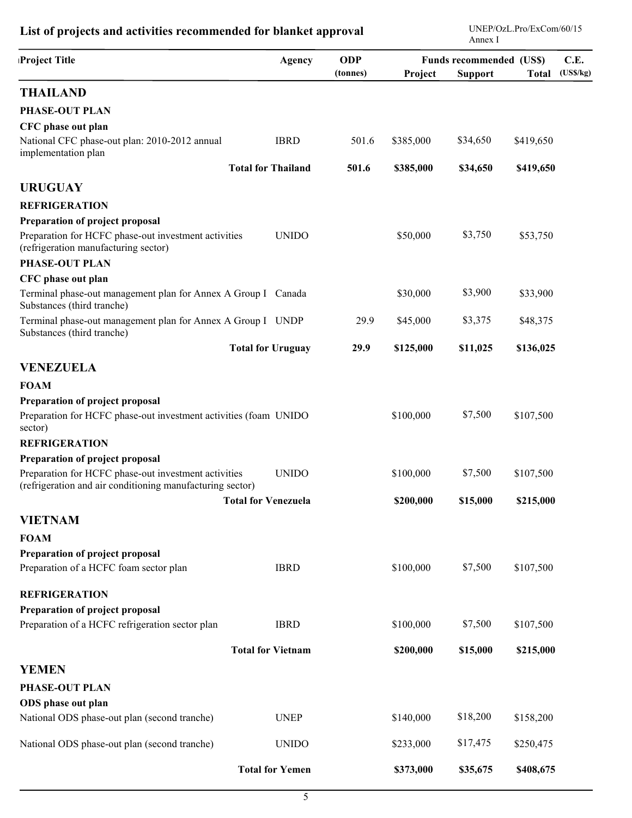| Project Title                                                                                                     | Agency                     | <b>ODP</b> | C.E.<br><b>Funds recommended (US\$)</b> |                |              |          |
|-------------------------------------------------------------------------------------------------------------------|----------------------------|------------|-----------------------------------------|----------------|--------------|----------|
|                                                                                                                   |                            | (tonnes)   | Project                                 | <b>Support</b> | <b>Total</b> | (USS/kg) |
| <b>THAILAND</b>                                                                                                   |                            |            |                                         |                |              |          |
| <b>PHASE-OUT PLAN</b>                                                                                             |                            |            |                                         |                |              |          |
| CFC phase out plan                                                                                                |                            |            |                                         |                |              |          |
| National CFC phase-out plan: 2010-2012 annual<br>implementation plan                                              | <b>IBRD</b>                | 501.6      | \$385,000                               | \$34,650       | \$419,650    |          |
|                                                                                                                   | <b>Total for Thailand</b>  | 501.6      | \$385,000                               | \$34,650       | \$419,650    |          |
| <b>URUGUAY</b>                                                                                                    |                            |            |                                         |                |              |          |
| <b>REFRIGERATION</b>                                                                                              |                            |            |                                         |                |              |          |
| Preparation of project proposal                                                                                   |                            |            |                                         |                |              |          |
| Preparation for HCFC phase-out investment activities<br>(refrigeration manufacturing sector)                      | <b>UNIDO</b>               |            | \$50,000                                | \$3,750        | \$53,750     |          |
| <b>PHASE-OUT PLAN</b>                                                                                             |                            |            |                                         |                |              |          |
| CFC phase out plan                                                                                                |                            |            |                                         |                |              |          |
| Terminal phase-out management plan for Annex A Group I Canada<br>Substances (third tranche)                       |                            |            | \$30,000                                | \$3,900        | \$33,900     |          |
| Terminal phase-out management plan for Annex A Group I UNDP<br>Substances (third tranche)                         |                            | 29.9       | \$45,000                                | \$3,375        | \$48,375     |          |
|                                                                                                                   | <b>Total for Uruguay</b>   | 29.9       | \$125,000                               | \$11,025       | \$136,025    |          |
| <b>VENEZUELA</b>                                                                                                  |                            |            |                                         |                |              |          |
| <b>FOAM</b>                                                                                                       |                            |            |                                         |                |              |          |
| Preparation of project proposal                                                                                   |                            |            |                                         |                |              |          |
| Preparation for HCFC phase-out investment activities (foam UNIDO<br>sector)                                       |                            |            | \$100,000                               | \$7,500        | \$107,500    |          |
| <b>REFRIGERATION</b>                                                                                              |                            |            |                                         |                |              |          |
| Preparation of project proposal                                                                                   |                            |            |                                         |                |              |          |
| Preparation for HCFC phase-out investment activities<br>(refrigeration and air conditioning manufacturing sector) | <b>UNIDO</b>               |            | \$100,000                               | \$7,500        | \$107,500    |          |
|                                                                                                                   | <b>Total for Venezuela</b> |            | \$200,000                               | \$15,000       | \$215,000    |          |
| <b>VIETNAM</b>                                                                                                    |                            |            |                                         |                |              |          |
| <b>FOAM</b>                                                                                                       |                            |            |                                         |                |              |          |
| Preparation of project proposal                                                                                   |                            |            |                                         |                |              |          |
| Preparation of a HCFC foam sector plan                                                                            | <b>IBRD</b>                |            | \$100,000                               | \$7,500        | \$107,500    |          |
| <b>REFRIGERATION</b>                                                                                              |                            |            |                                         |                |              |          |
| Preparation of project proposal                                                                                   |                            |            |                                         |                |              |          |
| Preparation of a HCFC refrigeration sector plan                                                                   | <b>IBRD</b>                |            | \$100,000                               | \$7,500        | \$107,500    |          |
|                                                                                                                   | <b>Total for Vietnam</b>   |            | \$200,000                               | \$15,000       | \$215,000    |          |
| <b>YEMEN</b>                                                                                                      |                            |            |                                         |                |              |          |
| <b>PHASE-OUT PLAN</b>                                                                                             |                            |            |                                         |                |              |          |
| ODS phase out plan                                                                                                |                            |            |                                         |                |              |          |
| National ODS phase-out plan (second tranche)                                                                      | <b>UNEP</b>                |            | \$140,000                               | \$18,200       | \$158,200    |          |
| National ODS phase-out plan (second tranche)                                                                      | <b>UNIDO</b>               |            | \$233,000                               | \$17,475       | \$250,475    |          |
|                                                                                                                   | <b>Total for Yemen</b>     |            | \$373,000                               | \$35,675       | \$408,675    |          |